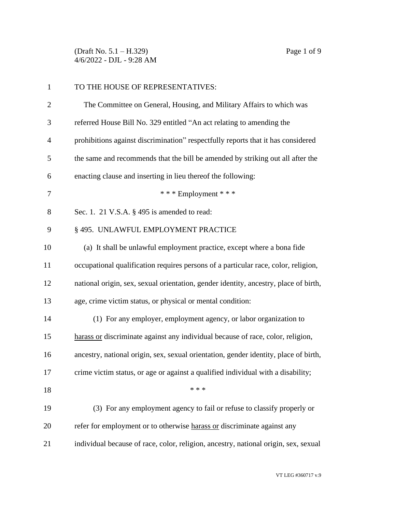(Draft No. 5.1 – H.329) Page 1 of 9 4/6/2022 - DJL - 9:28 AM

| $\mathbf{1}$   | TO THE HOUSE OF REPRESENTATIVES:                                                     |  |
|----------------|--------------------------------------------------------------------------------------|--|
| $\overline{2}$ | The Committee on General, Housing, and Military Affairs to which was                 |  |
| 3              | referred House Bill No. 329 entitled "An act relating to amending the                |  |
| $\overline{4}$ | prohibitions against discrimination" respectfully reports that it has considered     |  |
| 5              | the same and recommends that the bill be amended by striking out all after the       |  |
| 6              | enacting clause and inserting in lieu thereof the following:                         |  |
| 7              | *** Employment ***                                                                   |  |
| 8              | Sec. 1. 21 V.S.A. § 495 is amended to read:                                          |  |
| 9              | § 495. UNLAWFUL EMPLOYMENT PRACTICE                                                  |  |
| 10             | (a) It shall be unlawful employment practice, except where a bona fide               |  |
| 11             | occupational qualification requires persons of a particular race, color, religion,   |  |
| 12             | national origin, sex, sexual orientation, gender identity, ancestry, place of birth, |  |
| 13             | age, crime victim status, or physical or mental condition:                           |  |
| 14             | (1) For any employer, employment agency, or labor organization to                    |  |
| 15             | harass or discriminate against any individual because of race, color, religion,      |  |
| 16             | ancestry, national origin, sex, sexual orientation, gender identity, place of birth, |  |
| 17             | crime victim status, or age or against a qualified individual with a disability;     |  |
| 18             | * * *                                                                                |  |
| 19             | (3) For any employment agency to fail or refuse to classify properly or              |  |
| 20             | refer for employment or to otherwise harass or discriminate against any              |  |
| 21             | individual because of race, color, religion, ancestry, national origin, sex, sexual  |  |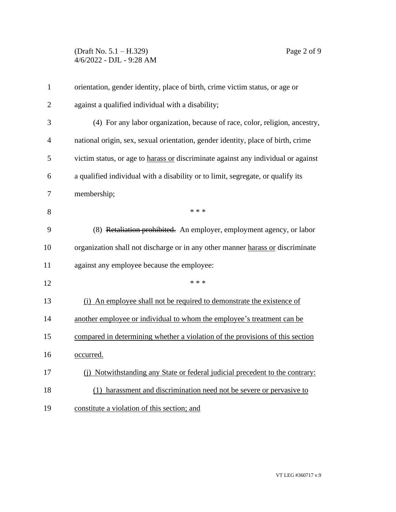(Draft No. 5.1 – H.329) Page 2 of 9 4/6/2022 - DJL - 9:28 AM

| $\mathbf{1}$   | orientation, gender identity, place of birth, crime victim status, or age or      |  |
|----------------|-----------------------------------------------------------------------------------|--|
| $\overline{2}$ | against a qualified individual with a disability;                                 |  |
| 3              | (4) For any labor organization, because of race, color, religion, ancestry,       |  |
| 4              | national origin, sex, sexual orientation, gender identity, place of birth, crime  |  |
| 5              | victim status, or age to harass or discriminate against any individual or against |  |
| 6              | a qualified individual with a disability or to limit, segregate, or qualify its   |  |
| 7              | membership;                                                                       |  |
| 8              | * * *                                                                             |  |
| 9              | (8) Retaliation prohibited. An employer, employment agency, or labor              |  |
| 10             | organization shall not discharge or in any other manner harass or discriminate    |  |
| 11             | against any employee because the employee:                                        |  |
| 12             | * * *                                                                             |  |
| 13             | (i) An employee shall not be required to demonstrate the existence of             |  |
| 14             | another employee or individual to whom the employee's treatment can be            |  |
| 15             | compared in determining whether a violation of the provisions of this section     |  |
| 16             | occurred.                                                                         |  |
| 17             | (i) Notwithstanding any State or federal judicial precedent to the contrary:      |  |
| 18             | (1) harassment and discrimination need not be severe or pervasive to              |  |
| 19             | constitute a violation of this section; and                                       |  |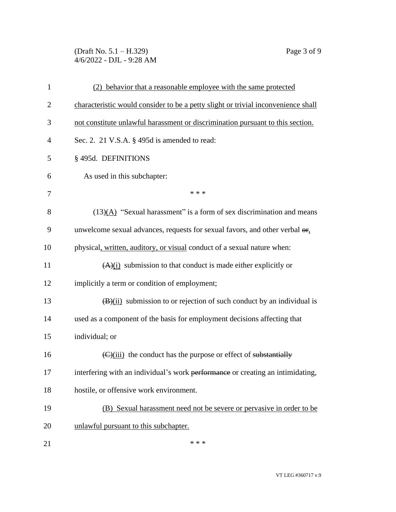(Draft No. 5.1 – H.329) Page 3 of 9 4/6/2022 - DJL - 9:28 AM

| $\mathbf{1}$   | (2) behavior that a reasonable employee with the same protected                                 |  |
|----------------|-------------------------------------------------------------------------------------------------|--|
| $\overline{2}$ | characteristic would consider to be a petty slight or trivial inconvenience shall               |  |
| 3              | not constitute unlawful harassment or discrimination pursuant to this section.                  |  |
| $\overline{4}$ | Sec. 2. 21 V.S.A. § 495d is amended to read:                                                    |  |
| 5              | §495d. DEFINITIONS                                                                              |  |
| 6              | As used in this subchapter:                                                                     |  |
| 7              | * * *                                                                                           |  |
| 8              | $(13)(A)$ "Sexual harassment" is a form of sex discrimination and means                         |  |
| 9              | unwelcome sexual advances, requests for sexual favors, and other verbal $\theta$ <sub>1</sub> . |  |
| 10             | physical, written, auditory, or visual conduct of a sexual nature when:                         |  |
| 11             | $(A)(i)$ submission to that conduct is made either explicitly or                                |  |
| 12             | implicitly a term or condition of employment;                                                   |  |
| 13             | $(\mathbf{B})(ii)$ submission to or rejection of such conduct by an individual is               |  |
| 14             | used as a component of the basis for employment decisions affecting that                        |  |
| 15             | individual; or                                                                                  |  |
| 16             | $\left(\frac{C}{\text{ii}}\right)$ the conduct has the purpose or effect of substantially       |  |
| 17             | interfering with an individual's work performance or creating an intimidating,                  |  |
| 18             | hostile, or offensive work environment.                                                         |  |
| 19             | (B) Sexual harassment need not be severe or pervasive in order to be                            |  |
| 20             | unlawful pursuant to this subchapter.                                                           |  |
| 21             | * * *                                                                                           |  |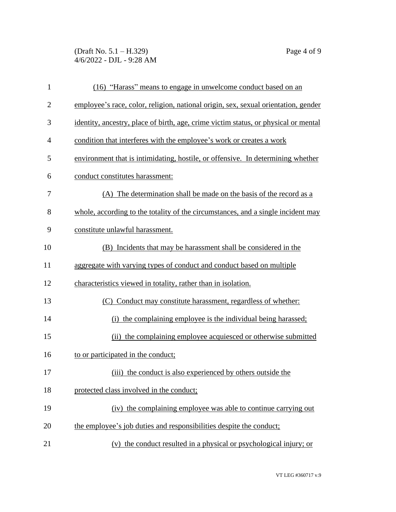(Draft No. 5.1 – H.329) Page 4 of 9 4/6/2022 - DJL - 9:28 AM

| $\mathbf{1}$   | (16) "Harass" means to engage in unwelcome conduct based on an                      |
|----------------|-------------------------------------------------------------------------------------|
| $\overline{2}$ | employee's race, color, religion, national origin, sex, sexual orientation, gender  |
| 3              | identity, ancestry, place of birth, age, crime victim status, or physical or mental |
| 4              | condition that interferes with the employee's work or creates a work                |
| 5              | environment that is intimidating, hostile, or offensive. In determining whether     |
| 6              | conduct constitutes harassment:                                                     |
| 7              | (A) The determination shall be made on the basis of the record as a                 |
| 8              | whole, according to the totality of the circumstances, and a single incident may    |
| 9              | constitute unlawful harassment.                                                     |
| 10             | (B) Incidents that may be harassment shall be considered in the                     |
| 11             | aggregate with varying types of conduct and conduct based on multiple               |
| 12             | characteristics viewed in totality, rather than in isolation.                       |
| 13             | (C) Conduct may constitute harassment, regardless of whether:                       |
| 14             | (i) the complaining employee is the individual being harassed;                      |
| 15             | (ii) the complaining employee acquiesced or otherwise submitted                     |
| 16             | to or participated in the conduct;                                                  |
| 17             | (iii) the conduct is also experienced by others outside the                         |
| 18             | protected class involved in the conduct;                                            |
| 19             | (iv) the complaining employee was able to continue carrying out                     |
| 20             | the employee's job duties and responsibilities despite the conduct;                 |
| 21             | (v) the conduct resulted in a physical or psychological injury; or                  |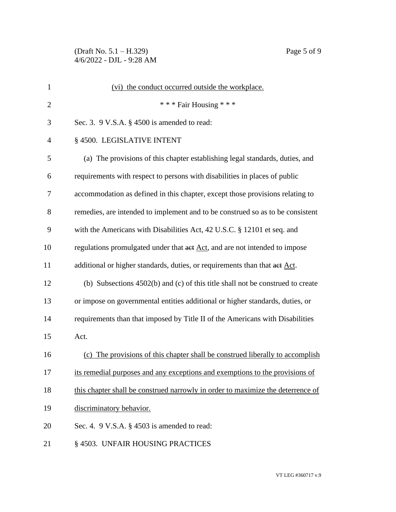(Draft No. 5.1 – H.329) Page 5 of 9 4/6/2022 - DJL - 9:28 AM

| $\mathbf{1}$   | (vi) the conduct occurred outside the workplace.                                |
|----------------|---------------------------------------------------------------------------------|
| $\overline{2}$ | *** Fair Housing ***                                                            |
| 3              | Sec. 3. $9$ V.S.A. $\S$ 4500 is amended to read:                                |
| $\overline{4}$ | § 4500. LEGISLATIVE INTENT                                                      |
| 5              | (a) The provisions of this chapter establishing legal standards, duties, and    |
| 6              | requirements with respect to persons with disabilities in places of public      |
| 7              | accommodation as defined in this chapter, except those provisions relating to   |
| 8              | remedies, are intended to implement and to be construed so as to be consistent  |
| 9              | with the Americans with Disabilities Act, 42 U.S.C. § 12101 et seq. and         |
| 10             | regulations promulgated under that act Act, and are not intended to impose      |
| 11             | additional or higher standards, duties, or requirements than that act Act.      |
| 12             | (b) Subsections 4502(b) and (c) of this title shall not be construed to create  |
| 13             | or impose on governmental entities additional or higher standards, duties, or   |
| 14             | requirements than that imposed by Title II of the Americans with Disabilities   |
| 15             | Act.                                                                            |
| 16             | (c) The provisions of this chapter shall be construed liberally to accomplish   |
| 17             | its remedial purposes and any exceptions and exemptions to the provisions of    |
| 18             | this chapter shall be construed narrowly in order to maximize the deterrence of |
| 19             | discriminatory behavior.                                                        |
| 20             | Sec. 4. $9$ V.S.A. $\S$ 4503 is amended to read:                                |
| 21             | § 4503. UNFAIR HOUSING PRACTICES                                                |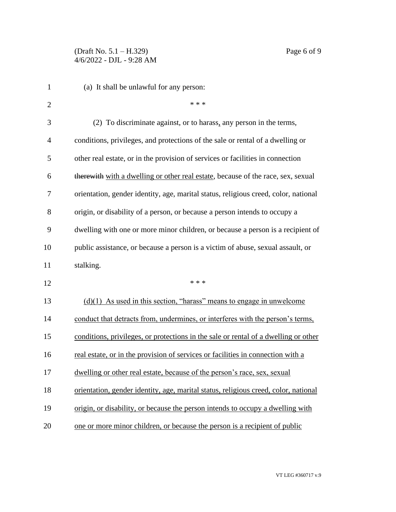| 1              | (a) It shall be unlawful for any person:                                            |
|----------------|-------------------------------------------------------------------------------------|
| $\overline{2}$ | * * *                                                                               |
| 3              | (2) To discriminate against, or to harass, any person in the terms,                 |
| 4              | conditions, privileges, and protections of the sale or rental of a dwelling or      |
| 5              | other real estate, or in the provision of services or facilities in connection      |
| 6              | therewith with a dwelling or other real estate, because of the race, sex, sexual    |
| 7              | orientation, gender identity, age, marital status, religious creed, color, national |
| 8              | origin, or disability of a person, or because a person intends to occupy a          |
| 9              | dwelling with one or more minor children, or because a person is a recipient of     |
| 10             | public assistance, or because a person is a victim of abuse, sexual assault, or     |
| 11             | stalking.                                                                           |
| 12             | * * *                                                                               |
| 13             | $(d)(1)$ As used in this section, "harass" means to engage in unwelcome             |
| 14             | conduct that detracts from, undermines, or interferes with the person's terms,      |
| 15             | conditions, privileges, or protections in the sale or rental of a dwelling or other |
| 16             | real estate, or in the provision of services or facilities in connection with a     |
| 17             | dwelling or other real estate, because of the person's race, sex, sexual            |
| 18             | orientation, gender identity, age, marital status, religious creed, color, national |
| 19             | origin, or disability, or because the person intends to occupy a dwelling with      |
| 20             | one or more minor children, or because the person is a recipient of public          |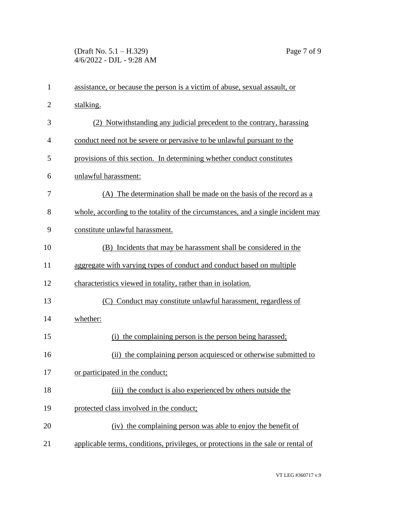(Draft No. 5.1 – H.329) Page 7 of 9 4/6/2022 - DJL - 9:28 AM

| $\mathbf{1}$   | assistance, or because the person is a victim of abuse, sexual assault, or        |  |
|----------------|-----------------------------------------------------------------------------------|--|
| $\overline{2}$ | stalking.                                                                         |  |
| 3              | (2) Notwithstanding any judicial precedent to the contrary, harassing             |  |
| 4              | conduct need not be severe or pervasive to be unlawful pursuant to the            |  |
| 5              | provisions of this section. In determining whether conduct constitutes            |  |
| 6              | unlawful harassment:                                                              |  |
| 7              | (A) The determination shall be made on the basis of the record as a               |  |
| 8              | whole, according to the totality of the circumstances, and a single incident may  |  |
| 9              | constitute unlawful harassment.                                                   |  |
| 10             | (B) Incidents that may be harassment shall be considered in the                   |  |
| 11             | aggregate with varying types of conduct and conduct based on multiple             |  |
| 12             | characteristics viewed in totality, rather than in isolation.                     |  |
| 13             | Conduct may constitute unlawful harassment, regardless of<br>(C)                  |  |
| 14             | whether:                                                                          |  |
| 15             | the complaining person is the person being harassed;<br>(i)                       |  |
| 16             | (ii) the complaining person acquiesced or otherwise submitted to                  |  |
| 17             | or participated in the conduct;                                                   |  |
| 18             | (iii) the conduct is also experienced by others outside the                       |  |
| 19             | protected class involved in the conduct;                                          |  |
| 20             | (iv) the complaining person was able to enjoy the benefit of                      |  |
| 21             | applicable terms, conditions, privileges, or protections in the sale or rental of |  |

VT LEG #360717 v.9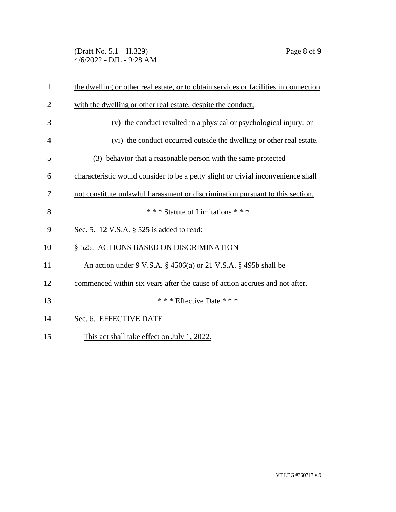(Draft No. 5.1 – H.329) Page 8 of 9 4/6/2022 - DJL - 9:28 AM

| $\mathbf{1}$   | the dwelling or other real estate, or to obtain services or facilities in connection |
|----------------|--------------------------------------------------------------------------------------|
| $\overline{2}$ | with the dwelling or other real estate, despite the conduct;                         |
| 3              | (v) the conduct resulted in a physical or psychological injury; or                   |
| $\overline{4}$ | (vi) the conduct occurred outside the dwelling or other real estate.                 |
| 5              | behavior that a reasonable person with the same protected<br>(3)                     |
| 6              | characteristic would consider to be a petty slight or trivial inconvenience shall    |
| 7              | not constitute unlawful harassment or discrimination pursuant to this section.       |
| 8              | *** Statute of Limitations ***                                                       |
| 9              | Sec. 5. 12 V.S.A. § 525 is added to read:                                            |
| 10             | § 525. ACTIONS BASED ON DISCRIMINATION                                               |
| 11             | An action under 9 V.S.A. $\S$ 4506(a) or 21 V.S.A. $\S$ 495b shall be                |
| 12             | commenced within six years after the cause of action accrues and not after.          |
| 13             | *** Effective Date ***                                                               |
| 14             | Sec. 6. EFFECTIVE DATE                                                               |
| 15             | This act shall take effect on July 1, 2022.                                          |